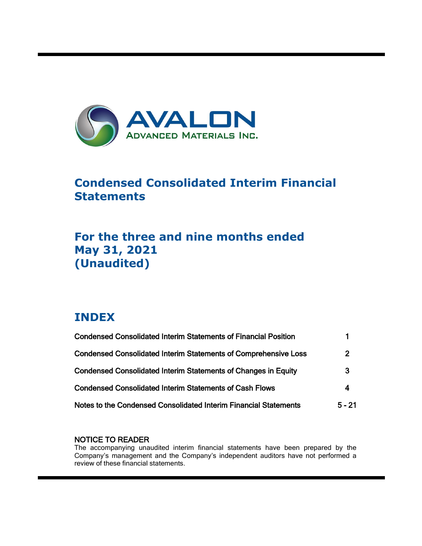

# **Condensed Consolidated Interim Financial Statements**

# **For the three and nine months ended May 31, 2021 (Unaudited)**

# **INDEX**

ı

| <b>Condensed Consolidated Interim Statements of Financial Position</b> |                |
|------------------------------------------------------------------------|----------------|
| <b>Condensed Consolidated Interim Statements of Comprehensive Loss</b> | $\overline{2}$ |
| <b>Condensed Consolidated Interim Statements of Changes in Equity</b>  | 3              |
| <b>Condensed Consolidated Interim Statements of Cash Flows</b>         | 4              |
| Notes to the Condensed Consolidated Interim Financial Statements       | $5 - 21$       |

## NOTICE TO READER

The accompanying unaudited interim financial statements have been prepared by the Company's management and the Company's independent auditors have not performed a review of these financial statements.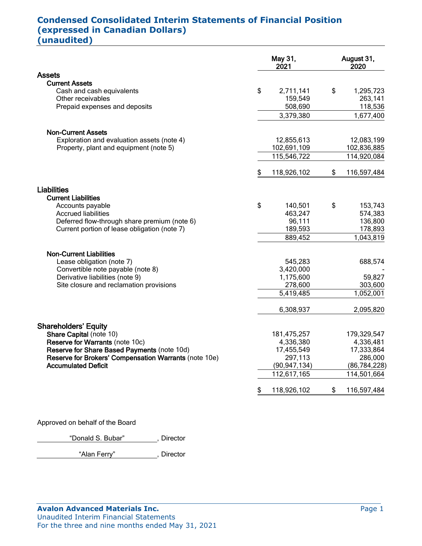# **Condensed Consolidated Interim Statements of Financial Position (expressed in Canadian Dollars) (unaudited)**

|                                                       | May 31,<br>2021 |                |    | August 31,<br>2020 |  |  |
|-------------------------------------------------------|-----------------|----------------|----|--------------------|--|--|
| <b>Assets</b>                                         |                 |                |    |                    |  |  |
| <b>Current Assets</b>                                 |                 |                |    |                    |  |  |
| Cash and cash equivalents                             | \$              | 2,711,141      | \$ | 1,295,723          |  |  |
| Other receivables                                     |                 | 159,549        |    | 263,141            |  |  |
| Prepaid expenses and deposits                         |                 | 508,690        |    | 118,536            |  |  |
|                                                       |                 | 3,379,380      |    | 1,677,400          |  |  |
| <b>Non-Current Assets</b>                             |                 |                |    |                    |  |  |
| Exploration and evaluation assets (note 4)            |                 | 12,855,613     |    | 12,083,199         |  |  |
| Property, plant and equipment (note 5)                |                 | 102,691,109    |    | 102,836,885        |  |  |
|                                                       |                 | 115,546,722    |    | 114,920,084        |  |  |
|                                                       | \$              | 118,926,102    | \$ | 116,597,484        |  |  |
| <b>Liabilities</b>                                    |                 |                |    |                    |  |  |
| <b>Current Liabilities</b>                            |                 |                |    |                    |  |  |
| Accounts payable                                      | \$              | 140,501        | \$ | 153,743            |  |  |
| <b>Accrued liabilities</b>                            |                 | 463,247        |    | 574,383            |  |  |
| Deferred flow-through share premium (note 6)          |                 | 96,111         |    | 136,800            |  |  |
| Current portion of lease obligation (note 7)          |                 | 189,593        |    | 178,893            |  |  |
|                                                       |                 | 889,452        |    | 1,043,819          |  |  |
| <b>Non-Current Liabilities</b>                        |                 |                |    |                    |  |  |
| Lease obligation (note 7)                             |                 | 545,283        |    | 688,574            |  |  |
| Convertible note payable (note 8)                     |                 | 3,420,000      |    |                    |  |  |
| Derivative liabilities (note 9)                       |                 | 1,175,600      |    | 59,827             |  |  |
| Site closure and reclamation provisions               |                 | 278,600        |    | 303,600            |  |  |
|                                                       |                 | 5,419,485      |    | 1,052,001          |  |  |
|                                                       |                 | 6,308,937      |    | 2,095,820          |  |  |
| <b>Shareholders' Equity</b>                           |                 |                |    |                    |  |  |
| Share Capital (note 10)                               |                 | 181,475,257    |    | 179,329,547        |  |  |
| Reserve for Warrants (note 10c)                       |                 | 4,336,380      |    | 4,336,481          |  |  |
| Reserve for Share Based Payments (note 10d)           |                 | 17,455,549     |    | 17,333,864         |  |  |
| Reserve for Brokers' Compensation Warrants (note 10e) |                 | 297,113        |    | 286,000            |  |  |
| <b>Accumulated Deficit</b>                            |                 | (90, 947, 134) |    | (86, 784, 228)     |  |  |
|                                                       |                 | 112,617,165    |    | 114,501,664        |  |  |
|                                                       | \$              | 118,926,102    | \$ | 116,597,484        |  |  |

Approved on behalf of the Board

"Donald S. Bubar", Director

"Alan Ferry" , Director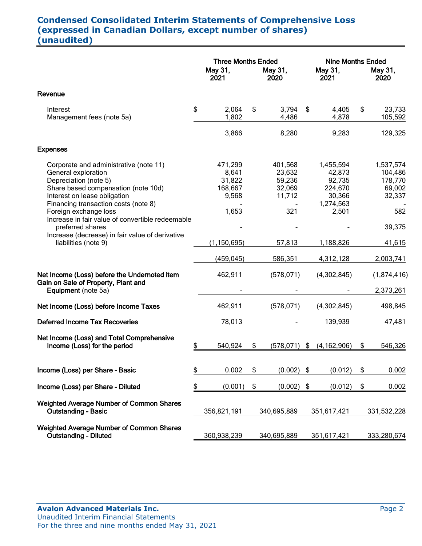# **Condensed Consolidated Interim Statements of Comprehensive Loss (expressed in Canadian Dollars, except number of shares) (unaudited)**

|                                                                                                                                                                                                                                                                                    | <b>Three Months Ended</b>          |                                                         |    |                                                        |                           | <b>Nine Months Ended</b>                                                 |    |                                                            |  |  |  |
|------------------------------------------------------------------------------------------------------------------------------------------------------------------------------------------------------------------------------------------------------------------------------------|------------------------------------|---------------------------------------------------------|----|--------------------------------------------------------|---------------------------|--------------------------------------------------------------------------|----|------------------------------------------------------------|--|--|--|
|                                                                                                                                                                                                                                                                                    | May 31,<br>May 31,<br>2021<br>2020 |                                                         |    | May $31,$<br>2021                                      |                           | May 31,<br>2020                                                          |    |                                                            |  |  |  |
| Revenue                                                                                                                                                                                                                                                                            |                                    |                                                         |    |                                                        |                           |                                                                          |    |                                                            |  |  |  |
| Interest<br>Management fees (note 5a)                                                                                                                                                                                                                                              | \$                                 | 2,064<br>1,802                                          | \$ | 3,794<br>4,486                                         | \$                        | 4,405<br>4,878                                                           | \$ | 23,733<br>105,592                                          |  |  |  |
|                                                                                                                                                                                                                                                                                    |                                    | 3,866                                                   |    | 8,280                                                  |                           | 9,283                                                                    |    | 129,325                                                    |  |  |  |
| <b>Expenses</b>                                                                                                                                                                                                                                                                    |                                    |                                                         |    |                                                        |                           |                                                                          |    |                                                            |  |  |  |
| Corporate and administrative (note 11)<br>General exploration<br>Depreciation (note 5)<br>Share based compensation (note 10d)<br>Interest on lease obligation<br>Financing transaction costs (note 8)<br>Foreign exchange loss<br>Increase in fair value of convertible redeemable |                                    | 471,299<br>8,641<br>31,822<br>168,667<br>9,568<br>1,653 |    | 401,568<br>23,632<br>59,236<br>32,069<br>11,712<br>321 |                           | 1,455,594<br>42,873<br>92,735<br>224,670<br>30,366<br>1,274,563<br>2,501 |    | 1,537,574<br>104,486<br>178,770<br>69,002<br>32,337<br>582 |  |  |  |
| preferred shares<br>Increase (decrease) in fair value of derivative<br>liabilities (note 9)                                                                                                                                                                                        |                                    | (1, 150, 695)<br>(459, 045)                             |    | 57,813<br>586,351                                      |                           | 1,188,826<br>4,312,128                                                   |    | 39,375<br>41,615<br>2,003,741                              |  |  |  |
| Net Income (Loss) before the Undernoted item<br>Gain on Sale of Property, Plant and<br>Equipment (note 5a)                                                                                                                                                                         |                                    | 462,911                                                 |    | (578, 071)                                             |                           | (4,302,845)                                                              |    | (1,874,416)<br>2,373,261                                   |  |  |  |
| Net Income (Loss) before Income Taxes                                                                                                                                                                                                                                              |                                    | 462,911                                                 |    | (578, 071)                                             |                           | (4,302,845)                                                              |    | 498,845                                                    |  |  |  |
| <b>Deferred Income Tax Recoveries</b>                                                                                                                                                                                                                                              |                                    | 78,013                                                  |    |                                                        |                           | 139,939                                                                  |    | 47,481                                                     |  |  |  |
| Net Income (Loss) and Total Comprehensive<br>Income (Loss) for the period                                                                                                                                                                                                          | \$                                 | 540,924                                                 | \$ | $(578, 071)$ \$                                        |                           | (4, 162, 906)                                                            | \$ | 546,326                                                    |  |  |  |
| Income (Loss) per Share - Basic                                                                                                                                                                                                                                                    | \$                                 | 0.002                                                   | \$ | $(0.002)$ \$                                           |                           | (0.012)                                                                  | \$ | 0.002                                                      |  |  |  |
| Income (Loss) per Share - Diluted                                                                                                                                                                                                                                                  | \$                                 | (0.001)                                                 | \$ | (0.002)                                                | $\boldsymbol{\hat{\phi}}$ | (0.012)                                                                  | \$ | 0.002                                                      |  |  |  |
| <b>Weighted Average Number of Common Shares</b><br><b>Outstanding - Basic</b>                                                                                                                                                                                                      |                                    | 356,821,191                                             |    | 340,695,889                                            |                           | 351,617,421                                                              |    | 331,532,228                                                |  |  |  |
| <b>Weighted Average Number of Common Shares</b><br><b>Outstanding - Diluted</b>                                                                                                                                                                                                    |                                    | 360,938,239                                             |    | 340,695,889                                            |                           | 351,617,421                                                              |    | 333,280,674                                                |  |  |  |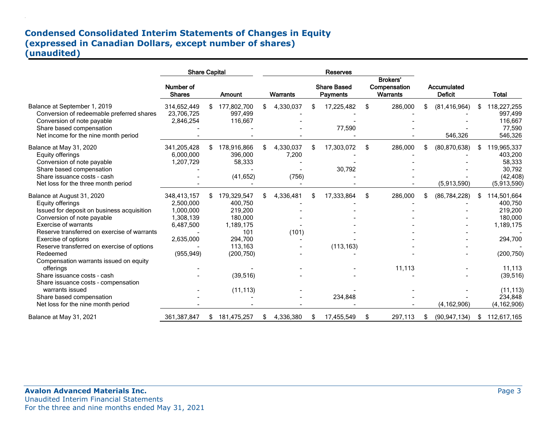## **Condensed Consolidated Interim Statements of Changes in Equity (expressed in Canadian Dollars, except number of shares) (unaudited)**

.

|                                                                                                                                                                                                                                 | <b>Share Capital</b>                                                         |     |                                                                             | Reserves |                             |     |                                       |    |                                                    |    |                                 |     |                                                                        |
|---------------------------------------------------------------------------------------------------------------------------------------------------------------------------------------------------------------------------------|------------------------------------------------------------------------------|-----|-----------------------------------------------------------------------------|----------|-----------------------------|-----|---------------------------------------|----|----------------------------------------------------|----|---------------------------------|-----|------------------------------------------------------------------------|
|                                                                                                                                                                                                                                 | Number of<br><b>Shares</b>                                                   |     | Amount                                                                      |          | <b>Warrants</b>             |     | <b>Share Based</b><br><b>Payments</b> |    | <b>Brokers'</b><br>Compensation<br><b>Warrants</b> |    | Accumulated<br><b>Deficit</b>   |     | <b>Total</b>                                                           |
| Balance at September 1, 2019<br>Conversion of redeemable preferred shares<br>Conversion of note payable<br>Share based compensation<br>Net income for the nine month period                                                     | 314,652,449<br>23,706,725<br>2,846,254                                       | \$  | 177,802,700<br>997,499<br>116,667                                           | \$       | 4,330,037                   | \$. | 17,225,482<br>77,590                  | \$ | 286,000                                            | \$ | (81, 416, 964)<br>546,326       | \$  | 118,227,255<br>997,499<br>116,667<br>77,590<br>546,326                 |
| Balance at May 31, 2020<br>Equity offerings<br>Conversion of note payable<br>Share based compensation<br>Share issuance costs - cash<br>Net loss for the three month period                                                     | 341,205,428<br>6,000,000<br>1,207,729                                        | \$. | 178,916,866<br>396,000<br>58,333<br>(41, 652)                               | \$       | 4,330,037<br>7,200<br>(756) | \$. | 17,303,072<br>30,792                  | \$ | 286,000                                            | \$ | (80, 870, 638)<br>(5,913,590)   | \$  | 119,965,337<br>403,200<br>58,333<br>30,792<br>(42, 408)<br>(5,913,590) |
| Balance at August 31, 2020<br>Equity offerings<br>Issued for deposit on business acquisition<br>Conversion of note payable<br><b>Exercise of warrants</b><br>Reserve transferred on exercise of warrants<br>Exercise of options | 348,413,157<br>2,500,000<br>1,000,000<br>1,308,139<br>6,487,500<br>2,635,000 |     | 179,329,547<br>400,750<br>219,200<br>180,000<br>1,189,175<br>101<br>294,700 | \$       | 4,336,481<br>(101)          | \$. | 17,333,864                            | \$ | 286,000                                            | S. | (86, 784, 228)                  | S   | 114,501,664<br>400,750<br>219,200<br>180,000<br>1,189,175<br>294,700   |
| Reserve transferred on exercise of options<br>Redeemed<br>Compensation warrants issued on equity<br>offerings<br>Share issuance costs - cash                                                                                    | (955, 949)                                                                   |     | 113,163<br>(200, 750)<br>(39, 516)                                          |          |                             |     | (113, 163)                            |    | 11,113                                             |    |                                 |     | (200, 750)<br>11,113<br>(39, 516)                                      |
| Share issuance costs - compensation<br>warrants issued<br>Share based compensation<br>Net loss for the nine month period<br>Balance at May 31, 2021                                                                             | 361,387,847                                                                  |     | (11, 113)<br>181,475,257                                                    |          | 4,336,380                   | \$. | 234,848<br>17,455,549                 | \$ | 297,113                                            |    | (4, 162, 906)<br>(90, 947, 134) | \$. | (11, 113)<br>234,848<br>(4, 162, 906)<br>112,617,165                   |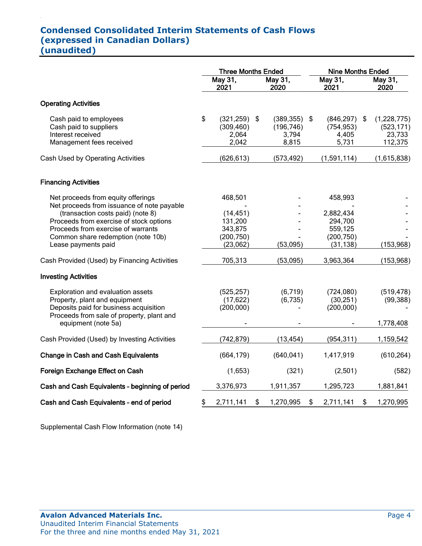## **Condensed Consolidated Interim Statements of Cash Flows (expressed in Canadian Dollars) (unaudited)**

.

|                                                                                                                                                                                                                                                                     | <b>Three Months Ended</b> |                                                                      |    |                                                 | <b>Nine Months Ended</b> |                                                                       |    |                                                |  |
|---------------------------------------------------------------------------------------------------------------------------------------------------------------------------------------------------------------------------------------------------------------------|---------------------------|----------------------------------------------------------------------|----|-------------------------------------------------|--------------------------|-----------------------------------------------------------------------|----|------------------------------------------------|--|
|                                                                                                                                                                                                                                                                     |                           | May 31,<br>2021                                                      |    | May 31,<br>2020                                 | May 31,<br>2021          |                                                                       |    | May 31,<br>2020                                |  |
| <b>Operating Activities</b>                                                                                                                                                                                                                                         |                           |                                                                      |    |                                                 |                          |                                                                       |    |                                                |  |
| Cash paid to employees<br>Cash paid to suppliers<br>Interest received<br>Management fees received                                                                                                                                                                   | \$                        | $(321, 259)$ \$<br>(309, 460)<br>2,064<br>2,042                      |    | $(389, 355)$ \$<br>(196, 746)<br>3,794<br>8,815 |                          | (846, 297)<br>(754, 953)<br>4,405<br>5,731                            | \$ | (1,228,775)<br>(523, 171)<br>23,733<br>112,375 |  |
| Cash Used by Operating Activities                                                                                                                                                                                                                                   |                           | (626, 613)                                                           |    | (573, 492)                                      |                          | (1,591,114)                                                           |    | (1,615,838)                                    |  |
| <b>Financing Activities</b>                                                                                                                                                                                                                                         |                           |                                                                      |    |                                                 |                          |                                                                       |    |                                                |  |
| Net proceeds from equity offerings<br>Net proceeds from issuance of note payable<br>(transaction costs paid) (note 8)<br>Proceeds from exercise of stock options<br>Proceeds from exercise of warrants<br>Common share redemption (note 10b)<br>Lease payments paid |                           | 468,501<br>(14, 451)<br>131,200<br>343,875<br>(200, 750)<br>(23,062) |    | (53,095)                                        |                          | 458,993<br>2,882,434<br>294,700<br>559,125<br>(200, 750)<br>(31, 138) |    | (153, 968)                                     |  |
| Cash Provided (Used) by Financing Activities                                                                                                                                                                                                                        |                           | 705,313                                                              |    | (53,095)                                        |                          | 3,963,364                                                             |    | (153, 968)                                     |  |
| <b>Investing Activities</b>                                                                                                                                                                                                                                         |                           |                                                                      |    |                                                 |                          |                                                                       |    |                                                |  |
| Exploration and evaluation assets<br>Property, plant and equipment<br>Deposits paid for business acquisition<br>Proceeds from sale of property, plant and<br>equipment (note 5a)                                                                                    |                           | (525, 257)<br>(17, 622)<br>(200,000)                                 |    | (6,719)<br>(6,735)                              |                          | (724,080)<br>(30, 251)<br>(200, 000)                                  |    | (519, 478)<br>(99, 388)<br>1,778,408           |  |
| Cash Provided (Used) by Investing Activities                                                                                                                                                                                                                        |                           | (742, 879)                                                           |    | (13, 454)                                       |                          | (954, 311)                                                            |    | 1,159,542                                      |  |
| <b>Change in Cash and Cash Equivalents</b>                                                                                                                                                                                                                          |                           | (664, 179)                                                           |    | (640, 041)                                      |                          | 1,417,919                                                             |    | (610, 264)                                     |  |
| Foreign Exchange Effect on Cash                                                                                                                                                                                                                                     |                           | (1,653)                                                              |    | (321)                                           |                          | (2,501)                                                               |    | (582)                                          |  |
| Cash and Cash Equivalents - beginning of period                                                                                                                                                                                                                     |                           | 3,376,973                                                            |    | 1,911,357                                       |                          | 1,295,723                                                             |    | 1,881,841                                      |  |
| Cash and Cash Equivalents - end of period                                                                                                                                                                                                                           | \$                        | 2,711,141                                                            | \$ | 1,270,995                                       | \$                       | 2,711,141                                                             | \$ | 1,270,995                                      |  |

Supplemental Cash Flow Information (note 14)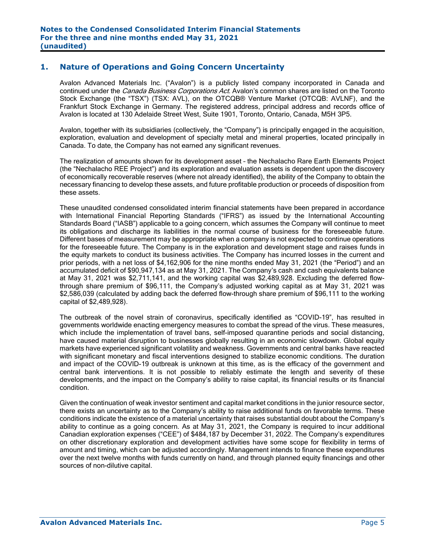## **1. Nature of Operations and Going Concern Uncertainty**

Avalon Advanced Materials Inc. ("Avalon") is a publicly listed company incorporated in Canada and continued under the *Canada Business Corporations Act*. Avalon's common shares are listed on the Toronto Stock Exchange (the "TSX") (TSX: AVL), on the OTCQB® Venture Market (OTCQB: AVLNF), and the Frankfurt Stock Exchange in Germany. The registered address, principal address and records office of Avalon is located at 130 Adelaide Street West, Suite 1901, Toronto, Ontario, Canada, M5H 3P5.

Avalon, together with its subsidiaries (collectively, the "Company") is principally engaged in the acquisition, exploration, evaluation and development of specialty metal and mineral properties, located principally in Canada. To date, the Company has not earned any significant revenues.

The realization of amounts shown for its development asset – the Nechalacho Rare Earth Elements Project (the "Nechalacho REE Project") and its exploration and evaluation assets is dependent upon the discovery of economically recoverable reserves (where not already identified), the ability of the Company to obtain the necessary financing to develop these assets, and future profitable production or proceeds of disposition from these assets.

These unaudited condensed consolidated interim financial statements have been prepared in accordance with International Financial Reporting Standards ("IFRS") as issued by the International Accounting Standards Board ("IASB") applicable to a going concern, which assumes the Company will continue to meet its obligations and discharge its liabilities in the normal course of business for the foreseeable future. Different bases of measurement may be appropriate when a company is not expected to continue operations for the foreseeable future. The Company is in the exploration and development stage and raises funds in the equity markets to conduct its business activities. The Company has incurred losses in the current and prior periods, with a net loss of \$4,162,906 for the nine months ended May 31, 2021 (the "Period") and an accumulated deficit of \$90,947,134 as at May 31, 2021. The Company's cash and cash equivalents balance at May 31, 2021 was \$2,711,141, and the working capital was \$2,489,928. Excluding the deferred flowthrough share premium of \$96,111, the Company's adjusted working capital as at May 31, 2021 was \$2,586,039 (calculated by adding back the deferred flow-through share premium of \$96,111 to the working capital of \$2,489,928).

The outbreak of the novel strain of coronavirus, specifically identified as "COVID-19", has resulted in governments worldwide enacting emergency measures to combat the spread of the virus. These measures, which include the implementation of travel bans, self-imposed quarantine periods and social distancing, have caused material disruption to businesses globally resulting in an economic slowdown. Global equity markets have experienced significant volatility and weakness. Governments and central banks have reacted with significant monetary and fiscal interventions designed to stabilize economic conditions. The duration and impact of the COVID-19 outbreak is unknown at this time, as is the efficacy of the government and central bank interventions. It is not possible to reliably estimate the length and severity of these developments, and the impact on the Company's ability to raise capital, its financial results or its financial condition.

Given the continuation of weak investor sentiment and capital market conditions in the junior resource sector, there exists an uncertainty as to the Company's ability to raise additional funds on favorable terms. These conditions indicate the existence of a material uncertainty that raises substantial doubt about the Company's ability to continue as a going concern. As at May 31, 2021, the Company is required to incur additional Canadian exploration expenses ("CEE") of \$484,187 by December 31, 2022. The Company's expenditures on other discretionary exploration and development activities have some scope for flexibility in terms of amount and timing, which can be adjusted accordingly. Management intends to finance these expenditures over the next twelve months with funds currently on hand, and through planned equity financings and other sources of non-dilutive capital.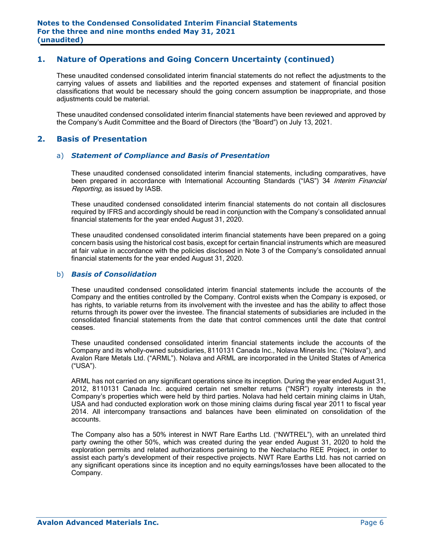## **1. Nature of Operations and Going Concern Uncertainty (continued)**

These unaudited condensed consolidated interim financial statements do not reflect the adjustments to the carrying values of assets and liabilities and the reported expenses and statement of financial position classifications that would be necessary should the going concern assumption be inappropriate, and those adjustments could be material.

These unaudited condensed consolidated interim financial statements have been reviewed and approved by the Company's Audit Committee and the Board of Directors (the "Board") on July 13, 2021.

#### **2. Basis of Presentation**

#### a) *Statement of Compliance and Basis of Presentation*

These unaudited condensed consolidated interim financial statements, including comparatives, have been prepared in accordance with International Accounting Standards ("IAS") 34 Interim Financial Reporting, as issued by IASB.

These unaudited condensed consolidated interim financial statements do not contain all disclosures required by IFRS and accordingly should be read in conjunction with the Company's consolidated annual financial statements for the year ended August 31, 2020.

These unaudited condensed consolidated interim financial statements have been prepared on a going concern basis using the historical cost basis, except for certain financial instruments which are measured at fair value in accordance with the policies disclosed in Note 3 of the Company's consolidated annual financial statements for the year ended August 31, 2020.

#### b) *Basis of Consolidation*

These unaudited condensed consolidated interim financial statements include the accounts of the Company and the entities controlled by the Company. Control exists when the Company is exposed, or has rights, to variable returns from its involvement with the investee and has the ability to affect those returns through its power over the investee. The financial statements of subsidiaries are included in the consolidated financial statements from the date that control commences until the date that control ceases.

These unaudited condensed consolidated interim financial statements include the accounts of the Company and its wholly-owned subsidiaries, 8110131 Canada Inc., Nolava Minerals Inc. ("Nolava"), and Avalon Rare Metals Ltd. ("ARML"). Nolava and ARML are incorporated in the United States of America ("USA").

ARML has not carried on any significant operations since its inception. During the year ended August 31, 2012, 8110131 Canada Inc. acquired certain net smelter returns ("NSR") royalty interests in the Company's properties which were held by third parties. Nolava had held certain mining claims in Utah, USA and had conducted exploration work on those mining claims during fiscal year 2011 to fiscal year 2014. All intercompany transactions and balances have been eliminated on consolidation of the accounts.

The Company also has a 50% interest in NWT Rare Earths Ltd. ("NWTREL"), with an unrelated third party owning the other 50%, which was created during the year ended August 31, 2020 to hold the exploration permits and related authorizations pertaining to the Nechalacho REE Project, in order to assist each party's development of their respective projects. NWT Rare Earths Ltd. has not carried on any significant operations since its inception and no equity earnings/losses have been allocated to the Company.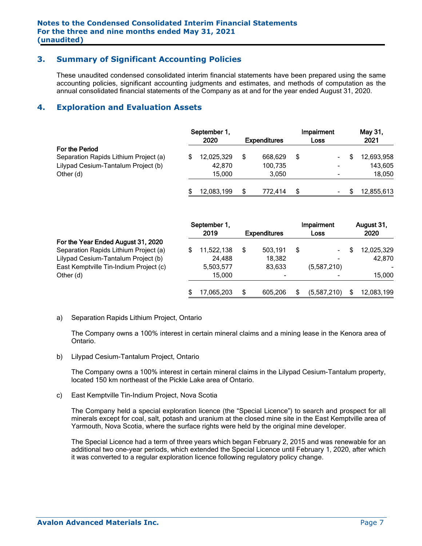## **3. Summary of Significant Accounting Policies**

These unaudited condensed consolidated interim financial statements have been prepared using the same accounting policies, significant accounting judgments and estimates, and methods of computation as the annual consolidated financial statements of the Company as at and for the year ended August 31, 2020.

## **4. Exploration and Evaluation Assets**

|                                       |  | September 1,<br>2020 |   |         | Impairment<br><b>Expenditures</b><br>Loss |                          |  | May 31,<br>2021 |  |
|---------------------------------------|--|----------------------|---|---------|-------------------------------------------|--------------------------|--|-----------------|--|
| <b>For the Period</b>                 |  |                      |   |         |                                           |                          |  |                 |  |
| Separation Rapids Lithium Project (a) |  | 12,025,329           |   | 668.629 | S                                         | ۰.                       |  | 12,693,958      |  |
| Lilypad Cesium-Tantalum Project (b)   |  | 42.870               |   | 100,735 |                                           |                          |  | 143,605         |  |
| Other (d)                             |  | 15.000               |   | 3.050   |                                           |                          |  | 18,050          |  |
|                                       |  | 12,083,199           | S | 772.414 | S                                         | $\overline{\phantom{a}}$ |  | 12,855,613      |  |

|                                                                             | September 1, |            |                     |         |    | Impairment  | August 31,               |  |
|-----------------------------------------------------------------------------|--------------|------------|---------------------|---------|----|-------------|--------------------------|--|
|                                                                             |              | 2019       | <b>Expenditures</b> |         |    | Loss        | 2020                     |  |
| For the Year Ended August 31, 2020<br>Separation Rapids Lithium Project (a) |              | 11.522.138 |                     | 503.191 | \$ | ۰.          | 12,025,329               |  |
| Lilypad Cesium-Tantalum Project (b)                                         |              | 24,488     |                     | 18.382  |    | -           | 42.870                   |  |
| East Kemptville Tin-Indium Project (c)                                      |              | 5,503,577  |                     | 83,633  |    | (5,587,210) | $\overline{\phantom{a}}$ |  |
| Other (d)                                                                   |              | 15.000     |                     |         |    |             | 15,000                   |  |
|                                                                             |              | 17,065,203 |                     | 605.206 | \$ | (5,587,210) | 12,083,199               |  |

#### a) Separation Rapids Lithium Project, Ontario

The Company owns a 100% interest in certain mineral claims and a mining lease in the Kenora area of Ontario.

b) Lilypad Cesium-Tantalum Project, Ontario

The Company owns a 100% interest in certain mineral claims in the Lilypad Cesium-Tantalum property, located 150 km northeast of the Pickle Lake area of Ontario.

c) East Kemptville Tin-Indium Project, Nova Scotia

The Company held a special exploration licence (the "Special Licence") to search and prospect for all minerals except for coal, salt, potash and uranium at the closed mine site in the East Kemptville area of Yarmouth, Nova Scotia, where the surface rights were held by the original mine developer.

The Special Licence had a term of three years which began February 2, 2015 and was renewable for an additional two one-year periods, which extended the Special Licence until February 1, 2020, after which it was converted to a regular exploration licence following regulatory policy change.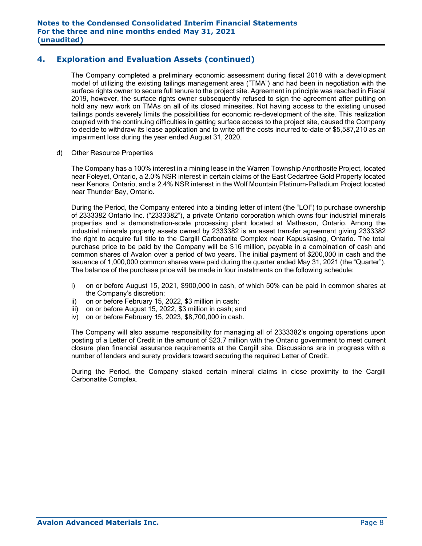## **4. Exploration and Evaluation Assets (continued)**

The Company completed a preliminary economic assessment during fiscal 2018 with a development model of utilizing the existing tailings management area ("TMA") and had been in negotiation with the surface rights owner to secure full tenure to the project site. Agreement in principle was reached in Fiscal 2019, however, the surface rights owner subsequently refused to sign the agreement after putting on hold any new work on TMAs on all of its closed minesites. Not having access to the existing unused tailings ponds severely limits the possibilities for economic re-development of the site. This realization coupled with the continuing difficulties in getting surface access to the project site, caused the Company to decide to withdraw its lease application and to write off the costs incurred to-date of \$5,587,210 as an impairment loss during the year ended August 31, 2020.

d) Other Resource Properties

The Company has a 100% interest in a mining lease in the Warren Township Anorthosite Project, located near Foleyet, Ontario, a 2.0% NSR interest in certain claims of the East Cedartree Gold Property located near Kenora, Ontario, and a 2.4% NSR interest in the Wolf Mountain Platinum-Palladium Project located near Thunder Bay, Ontario.

During the Period, the Company entered into a binding letter of intent (the "LOI") to purchase ownership of 2333382 Ontario Inc. ("2333382"), a private Ontario corporation which owns four industrial minerals properties and a demonstration-scale processing plant located at Matheson, Ontario. Among the industrial minerals property assets owned by 2333382 is an asset transfer agreement giving 2333382 the right to acquire full title to the Cargill Carbonatite Complex near Kapuskasing, Ontario. The total purchase price to be paid by the Company will be \$16 million, payable in a combination of cash and common shares of Avalon over a period of two years. The initial payment of \$200,000 in cash and the issuance of 1,000,000 common shares were paid during the quarter ended May 31, 2021 (the "Quarter"). The balance of the purchase price will be made in four instalments on the following schedule:

- i) on or before August 15, 2021, \$900,000 in cash, of which 50% can be paid in common shares at the Company's discretion;
- ii) on or before February 15, 2022, \$3 million in cash;
- iii) on or before August 15, 2022, \$3 million in cash; and
- iv) on or before February 15, 2023, \$8,700,000 in cash.

The Company will also assume responsibility for managing all of 2333382's ongoing operations upon posting of a Letter of Credit in the amount of \$23.7 million with the Ontario government to meet current closure plan financial assurance requirements at the Cargill site. Discussions are in progress with a number of lenders and surety providers toward securing the required Letter of Credit.

During the Period, the Company staked certain mineral claims in close proximity to the Cargill Carbonatite Complex.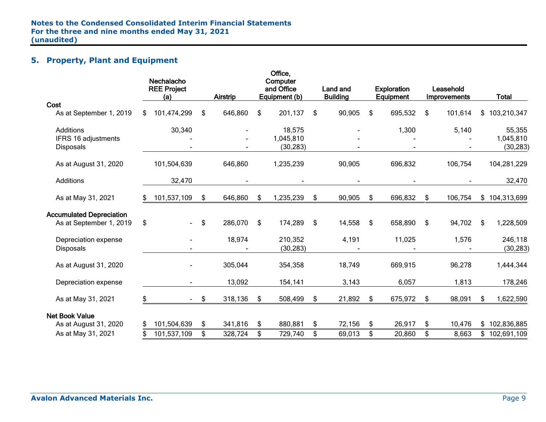## **5. Property, Plant and Equipment**

|                                                            | Nechalacho<br><b>REE Project</b><br>(a) |             | <b>Airstrip</b> | Office,<br>Computer<br>and Office<br>Equipment (b) | <b>Land and</b><br><b>Building</b> | <b>Exploration</b><br>Equipment | Leasehold<br>Improvements |     | <b>Total</b>         |
|------------------------------------------------------------|-----------------------------------------|-------------|-----------------|----------------------------------------------------|------------------------------------|---------------------------------|---------------------------|-----|----------------------|
| Cost<br>As at September 1, 2019                            | \$<br>101,474,299                       | \$          | 646,860         | \$<br>201,137                                      | \$<br>90,905                       | \$<br>695,532                   | \$<br>101,614             | \$  | 103,210,347          |
| Additions<br>IFRS 16 adjustments                           | 30,340                                  |             |                 | 18,575<br>1,045,810                                |                                    | 1,300                           | 5,140                     |     | 55,355<br>1,045,810  |
| <b>Disposals</b>                                           |                                         |             |                 | (30, 283)                                          |                                    |                                 |                           |     | (30, 283)            |
| As at August 31, 2020                                      | 101,504,639                             |             | 646,860         | 1,235,239                                          | 90,905                             | 696,832                         | 106,754                   |     | 104,281,229          |
| Additions                                                  | 32,470                                  |             |                 |                                                    |                                    |                                 |                           |     | 32,470               |
| As at May 31, 2021                                         | \$<br>101,537,109                       | $$^{\circ}$ | 646,860         | \$<br>1,235,239                                    | \$<br>90,905                       | \$<br>696,832                   | \$<br>106,754             |     | \$104,313,699        |
| <b>Accumulated Depreciation</b><br>As at September 1, 2019 | \$<br>$\sim$                            | \$          | 286,070         | \$<br>174,289                                      | \$<br>14,558                       | \$<br>658,890                   | \$<br>94,702              | \$  | 1,228,509            |
| Depreciation expense<br>Disposals                          |                                         |             | 18,974          | 210,352<br>(30, 283)                               | 4,191                              | 11,025                          | 1,576                     |     | 246,118<br>(30, 283) |
| As at August 31, 2020                                      |                                         |             | 305,044         | 354,358                                            | 18,749                             | 669,915                         | 96,278                    |     | 1,444,344            |
| Depreciation expense                                       |                                         |             | 13,092          | 154,141                                            | 3,143                              | 6,057                           | 1,813                     |     | 178,246              |
| As at May 31, 2021                                         | \$<br>$\sim 100$                        | \$          | 318,136         | \$<br>508,499                                      | \$<br>21,892                       | \$<br>675,972                   | \$<br>98,091              | \$. | 1,622,590            |
| <b>Net Book Value</b>                                      |                                         |             |                 |                                                    |                                    |                                 |                           |     |                      |
| As at August 31, 2020                                      | 101,504,639                             | \$          | 341,816         | \$<br>880,881                                      | \$<br>72,156                       | \$<br>26,917                    | \$<br>10,476              |     | \$102,836,885        |
| As at May 31, 2021                                         | 101,537,109                             | \$          | 328,724         | \$<br>729,740                                      | \$<br>69,013                       | \$<br>20,860                    | \$<br>8,663               |     | \$102,691,109        |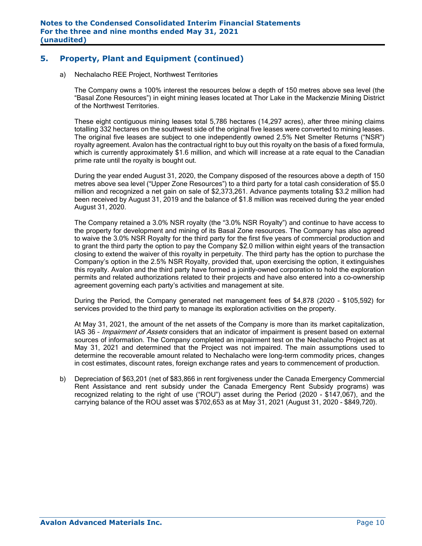## **5. Property, Plant and Equipment (continued)**

a) Nechalacho REE Project, Northwest Territories

The Company owns a 100% interest the resources below a depth of 150 metres above sea level (the "Basal Zone Resources") in eight mining leases located at Thor Lake in the Mackenzie Mining District of the Northwest Territories.

These eight contiguous mining leases total 5,786 hectares (14,297 acres), after three mining claims totalling 332 hectares on the southwest side of the original five leases were converted to mining leases. The original five leases are subject to one independently owned 2.5% Net Smelter Returns ("NSR") royalty agreement. Avalon has the contractual right to buy out this royalty on the basis of a fixed formula, which is currently approximately \$1.6 million, and which will increase at a rate equal to the Canadian prime rate until the royalty is bought out.

During the year ended August 31, 2020, the Company disposed of the resources above a depth of 150 metres above sea level ("Upper Zone Resources") to a third party for a total cash consideration of \$5.0 million and recognized a net gain on sale of \$2,373,261. Advance payments totaling \$3.2 million had been received by August 31, 2019 and the balance of \$1.8 million was received during the year ended August 31, 2020.

The Company retained a 3.0% NSR royalty (the "3.0% NSR Royalty") and continue to have access to the property for development and mining of its Basal Zone resources. The Company has also agreed to waive the 3.0% NSR Royalty for the third party for the first five years of commercial production and to grant the third party the option to pay the Company \$2.0 million within eight years of the transaction closing to extend the waiver of this royalty in perpetuity. The third party has the option to purchase the Company's option in the 2.5% NSR Royalty, provided that, upon exercising the option, it extinguishes this royalty. Avalon and the third party have formed a jointly-owned corporation to hold the exploration permits and related authorizations related to their projects and have also entered into a co-ownership agreement governing each party's activities and management at site.

During the Period, the Company generated net management fees of \$4,878 (2020 - \$105,592) for services provided to the third party to manage its exploration activities on the property.

At May 31, 2021, the amount of the net assets of the Company is more than its market capitalization, IAS 36 - Impairment of Assets considers that an indicator of impairment is present based on external sources of information. The Company completed an impairment test on the Nechalacho Project as at May 31, 2021 and determined that the Project was not impaired. The main assumptions used to determine the recoverable amount related to Nechalacho were long-term commodity prices, changes in cost estimates, discount rates, foreign exchange rates and years to commencement of production.

b) Depreciation of \$63,201 (net of \$83,866 in rent forgiveness under the Canada Emergency Commercial Rent Assistance and rent subsidy under the Canada Emergency Rent Subsidy programs) was recognized relating to the right of use ("ROU") asset during the Period (2020 - \$147,067), and the carrying balance of the ROU asset was \$702,653 as at May 31, 2021 (August 31, 2020 - \$849,720).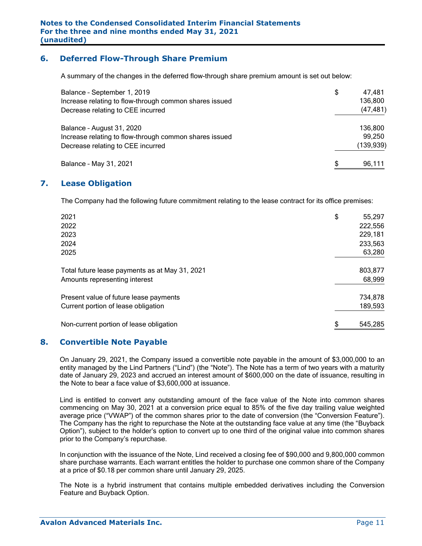## **6. Deferred Flow-Through Share Premium**

A summary of the changes in the deferred flow-through share premium amount is set out below:

| Balance - September 1, 2019                            | \$<br>47.481 |
|--------------------------------------------------------|--------------|
| Increase relating to flow-through common shares issued | 136,800      |
| Decrease relating to CEE incurred                      | (47, 481)    |
| Balance - August 31, 2020                              | 136,800      |
| Increase relating to flow-through common shares issued | 99,250       |
| Decrease relating to CEE incurred                      | (139, 939)   |
| Balance - May 31, 2021                                 | \$<br>96,111 |

## **7. Lease Obligation**

The Company had the following future commitment relating to the lease contract for its office premises:

| 2021                                           | \$<br>55,297  |
|------------------------------------------------|---------------|
| 2022                                           | 222,556       |
| 2023                                           | 229,181       |
| 2024                                           | 233,563       |
| 2025                                           | 63,280        |
| Total future lease payments as at May 31, 2021 | 803,877       |
| Amounts representing interest                  | 68,999        |
| Present value of future lease payments         | 734,878       |
| Current portion of lease obligation            | 189,593       |
| Non-current portion of lease obligation        | \$<br>545,285 |

## **8. Convertible Note Payable**

On January 29, 2021, the Company issued a convertible note payable in the amount of \$3,000,000 to an entity managed by the Lind Partners ("Lind") (the "Note"). The Note has a term of two years with a maturity date of January 29, 2023 and accrued an interest amount of \$600,000 on the date of issuance, resulting in the Note to bear a face value of \$3,600,000 at issuance.

Lind is entitled to convert any outstanding amount of the face value of the Note into common shares commencing on May 30, 2021 at a conversion price equal to 85% of the five day trailing value weighted average price ("VWAP") of the common shares prior to the date of conversion (the "Conversion Feature"). The Company has the right to repurchase the Note at the outstanding face value at any time (the "Buyback Option"), subject to the holder's option to convert up to one third of the original value into common shares prior to the Company's repurchase.

In conjunction with the issuance of the Note, Lind received a closing fee of \$90,000 and 9,800,000 common share purchase warrants. Each warrant entitles the holder to purchase one common share of the Company at a price of \$0.18 per common share until January 29, 2025.

The Note is a hybrid instrument that contains multiple embedded derivatives including the Conversion Feature and Buyback Option.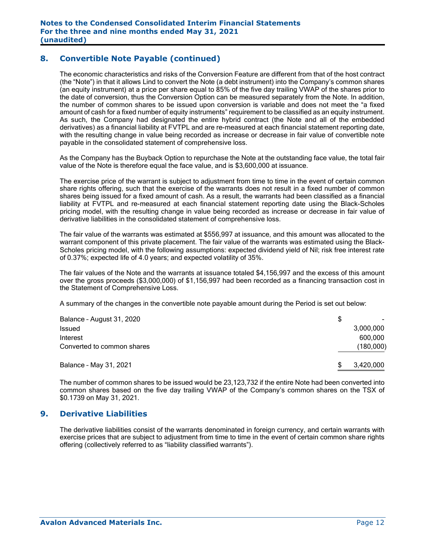## **8. Convertible Note Payable (continued)**

The economic characteristics and risks of the Conversion Feature are different from that of the host contract (the "Note") in that it allows Lind to convert the Note (a debt instrument) into the Company's common shares (an equity instrument) at a price per share equal to 85% of the five day trailing VWAP of the shares prior to the date of conversion, thus the Conversion Option can be measured separately from the Note. In addition, the number of common shares to be issued upon conversion is variable and does not meet the "a fixed amount of cash for a fixed number of equity instruments" requirement to be classified as an equity instrument. As such, the Company had designated the entire hybrid contract (the Note and all of the embedded derivatives) as a financial liability at FVTPL and are re-measured at each financial statement reporting date, with the resulting change in value being recorded as increase or decrease in fair value of convertible note payable in the consolidated statement of comprehensive loss.

As the Company has the Buyback Option to repurchase the Note at the outstanding face value, the total fair value of the Note is therefore equal the face value, and is \$3,600,000 at issuance.

The exercise price of the warrant is subject to adjustment from time to time in the event of certain common share rights offering, such that the exercise of the warrants does not result in a fixed number of common shares being issued for a fixed amount of cash. As a result, the warrants had been classified as a financial liability at FVTPL and re-measured at each financial statement reporting date using the Black-Scholes pricing model, with the resulting change in value being recorded as increase or decrease in fair value of derivative liabilities in the consolidated statement of comprehensive loss.

The fair value of the warrants was estimated at \$556,997 at issuance, and this amount was allocated to the warrant component of this private placement. The fair value of the warrants was estimated using the Black-Scholes pricing model, with the following assumptions: expected dividend yield of Nil; risk free interest rate of 0.37%; expected life of 4.0 years; and expected volatility of 35%.

The fair values of the Note and the warrants at issuance totaled \$4,156,997 and the excess of this amount over the gross proceeds (\$3,000,000) of \$1,156,997 had been recorded as a financing transaction cost in the Statement of Comprehensive Loss.

A summary of the changes in the convertible note payable amount during the Period is set out below:

| Balance - August 31, 2020  | S              |
|----------------------------|----------------|
| <b>Issued</b>              | 3,000,000      |
| Interest                   | 600,000        |
| Converted to common shares | (180,000)      |
| Balance - May 31, 2021     | 3,420,000<br>S |

The number of common shares to be issued would be 23,123,732 if the entire Note had been converted into common shares based on the five day trailing VWAP of the Company's common shares on the TSX of \$0.1739 on May 31, 2021.

#### **9. Derivative Liabilities**

The derivative liabilities consist of the warrants denominated in foreign currency, and certain warrants with exercise prices that are subject to adjustment from time to time in the event of certain common share rights offering (collectively referred to as "liability classified warrants").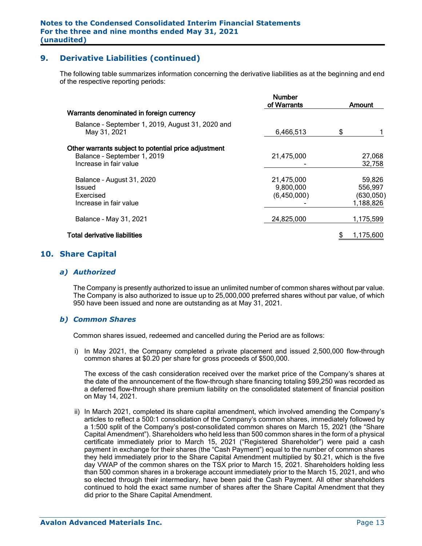## **9. Derivative Liabilities (continued)**

The following table summarizes information concerning the derivative liabilities as at the beginning and end of the respective reporting periods:

|                                                                                                               | <b>Number</b><br>of Warrants           | Amount                                       |  |
|---------------------------------------------------------------------------------------------------------------|----------------------------------------|----------------------------------------------|--|
| Warrants denominated in foreign currency                                                                      |                                        |                                              |  |
| Balance - September 1, 2019, August 31, 2020 and<br>May 31, 2021                                              | 6,466,513                              | \$                                           |  |
| Other warrants subject to potential price adjustment<br>Balance - September 1, 2019<br>Increase in fair value | 21,475,000                             | 27,068<br>32,758                             |  |
| Balance - August 31, 2020<br>Issued<br>Exercised<br>Increase in fair value                                    | 21,475,000<br>9,800,000<br>(6,450,000) | 59,826<br>556,997<br>(630, 050)<br>1,188,826 |  |
| Balance - May 31, 2021                                                                                        | 24,825,000                             | 1,175,599                                    |  |
| <b>Total derivative liabilities</b>                                                                           |                                        | 1,175,600                                    |  |
|                                                                                                               |                                        |                                              |  |

## **10. Share Capital**

#### *a) Authorized*

The Company is presently authorized to issue an unlimited number of common shares without par value. The Company is also authorized to issue up to 25,000,000 preferred shares without par value, of which 950 have been issued and none are outstanding as at May 31, 2021.

#### *b) Common Shares*

Common shares issued, redeemed and cancelled during the Period are as follows:

i) In May 2021, the Company completed a private placement and issued 2,500,000 flow-through common shares at \$0.20 per share for gross proceeds of \$500,000.

The excess of the cash consideration received over the market price of the Company's shares at the date of the announcement of the flow-through share financing totaling \$99,250 was recorded as a deferred flow-through share premium liability on the consolidated statement of financial position on May 14, 2021.

ii) In March 2021, completed its share capital amendment, which involved amending the Company's articles to reflect a 500:1 consolidation of the Company's common shares, immediately followed by a 1:500 split of the Company's post-consolidated common shares on March 15, 2021 (the "Share Capital Amendment"). Shareholders who held less than 500 common shares in the form of a physical certificate immediately prior to March 15, 2021 ("Registered Shareholder") were paid a cash payment in exchange for their shares (the "Cash Payment") equal to the number of common shares they held immediately prior to the Share Capital Amendment multiplied by \$0.21, which is the five day VWAP of the common shares on the TSX prior to March 15, 2021. Shareholders holding less than 500 common shares in a brokerage account immediately prior to the March 15, 2021, and who so elected through their intermediary, have been paid the Cash Payment. All other shareholders continued to hold the exact same number of shares after the Share Capital Amendment that they did prior to the Share Capital Amendment.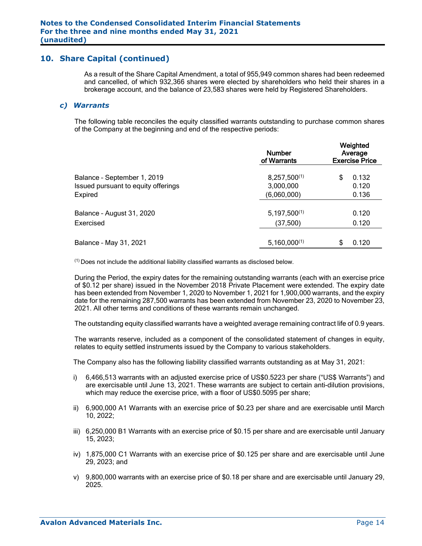As a result of the Share Capital Amendment, a total of 955,949 common shares had been redeemed and cancelled, of which 932,366 shares were elected by shareholders who held their shares in a brokerage account, and the balance of 23,583 shares were held by Registered Shareholders.

#### *c) Warrants*

The following table reconciles the equity classified warrants outstanding to purchase common shares of the Company at the beginning and end of the respective periods:

|                                                                               | <b>Number</b><br>of Warrants                  | Weighted<br>Average<br><b>Exercise Price</b> |  |  |  |
|-------------------------------------------------------------------------------|-----------------------------------------------|----------------------------------------------|--|--|--|
| Balance - September 1, 2019<br>Issued pursuant to equity offerings<br>Expired | $8,257,500^{(1)}$<br>3,000,000<br>(6,060,000) | 0.132<br>\$<br>0.120<br>0.136                |  |  |  |
| Balance - August 31, 2020<br>Exercised                                        | $5,197,500^{(1)}$<br>(37,500)                 | 0.120<br>0.120                               |  |  |  |
| Balance - May 31, 2021                                                        | $5,160,000^{(1)}$                             | 0.120<br>\$                                  |  |  |  |

(1) Does not include the additional liability classified warrants as disclosed below.

During the Period, the expiry dates for the remaining outstanding warrants (each with an exercise price of \$0.12 per share) issued in the November 2018 Private Placement were extended. The expiry date has been extended from November 1, 2020 to November 1, 2021 for 1,900,000 warrants, and the expiry date for the remaining 287,500 warrants has been extended from November 23, 2020 to November 23, 2021. All other terms and conditions of these warrants remain unchanged.

The outstanding equity classified warrants have a weighted average remaining contract life of 0.9 years.

The warrants reserve, included as a component of the consolidated statement of changes in equity, relates to equity settled instruments issued by the Company to various stakeholders.

The Company also has the following liability classified warrants outstanding as at May 31, 2021:

- i) 6,466,513 warrants with an adjusted exercise price of US\$0.5223 per share ("US\$ Warrants") and are exercisable until June 13, 2021. These warrants are subject to certain anti-dilution provisions, which may reduce the exercise price, with a floor of US\$0.5095 per share;
- ii) 6,900,000 A1 Warrants with an exercise price of \$0.23 per share and are exercisable until March 10, 2022;
- iii) 6,250,000 B1 Warrants with an exercise price of \$0.15 per share and are exercisable until January 15, 2023;
- iv) 1,875,000 C1 Warrants with an exercise price of \$0.125 per share and are exercisable until June 29, 2023; and
- v) 9,800,000 warrants with an exercise price of \$0.18 per share and are exercisable until January 29, 2025.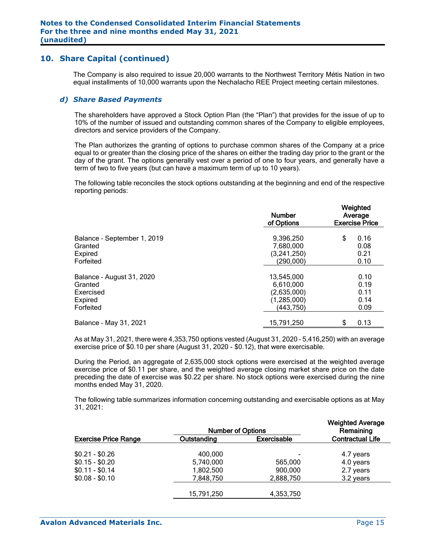The Company is also required to issue 20,000 warrants to the Northwest Territory Métis Nation in two equal installments of 10,000 warrants upon the Nechalacho REE Project meeting certain milestones.

#### *d) Share Based Payments*

The shareholders have approved a Stock Option Plan (the "Plan") that provides for the issue of up to 10% of the number of issued and outstanding common shares of the Company to eligible employees, directors and service providers of the Company.

The Plan authorizes the granting of options to purchase common shares of the Company at a price equal to or greater than the closing price of the shares on either the trading day prior to the grant or the day of the grant. The options generally vest over a period of one to four years, and generally have a term of two to five years (but can have a maximum term of up to 10 years).

The following table reconciles the stock options outstanding at the beginning and end of the respective reporting periods:

|                             | <b>Number</b><br>of Options | Weighted<br>Average<br><b>Exercise Price</b> |  |  |  |
|-----------------------------|-----------------------------|----------------------------------------------|--|--|--|
| Balance - September 1, 2019 | 9,396,250                   | \$<br>0.16                                   |  |  |  |
| Granted                     | 7,680,000                   | 0.08                                         |  |  |  |
| Expired                     | (3,241,250)                 | 0.21                                         |  |  |  |
| Forfeited                   | (290,000)                   | 0.10                                         |  |  |  |
| Balance - August 31, 2020   | 13,545,000                  | 0.10                                         |  |  |  |
| Granted                     | 6,610,000                   | 0.19                                         |  |  |  |
| Exercised                   | (2,635,000)                 | 0.11                                         |  |  |  |
| Expired                     | (1,285,000)                 | 0.14                                         |  |  |  |
| Forfeited                   | (443, 750)                  | 0.09                                         |  |  |  |
| Balance - May 31, 2021      | 15,791,250                  | 0.13<br>\$                                   |  |  |  |

As at May 31, 2021, there were 4,353,750 options vested (August 31, 2020 – 5,416,250) with an average exercise price of \$0.10 per share (August 31, 2020 - \$0.12), that were exercisable.

During the Period, an aggregate of 2,635,000 stock options were exercised at the weighted average exercise price of \$0.11 per share, and the weighted average closing market share price on the date preceding the date of exercise was \$0.22 per share. No stock options were exercised during the nine months ended May 31, 2020.

The following table summarizes information concerning outstanding and exercisable options as at May 31, 2021:

|                             |             | <b>Number of Options</b> |                         |  |  |  |  |  |
|-----------------------------|-------------|--------------------------|-------------------------|--|--|--|--|--|
| <b>Exercise Price Range</b> | Outstanding | <b>Exercisable</b>       | <b>Contractual Life</b> |  |  |  |  |  |
| $$0.21 - $0.26$             | 400.000     | -                        | 4.7 years               |  |  |  |  |  |
| $$0.15 - $0.20$             | 5,740,000   | 565,000                  | 4.0 years               |  |  |  |  |  |
| $$0.11 - $0.14$             | 1,802,500   | 900,000                  | 2.7 years               |  |  |  |  |  |
| $$0.08 - $0.10$             | 7,848,750   | 2,888,750                | 3.2 years               |  |  |  |  |  |
|                             | 15,791,250  | 4,353,750                |                         |  |  |  |  |  |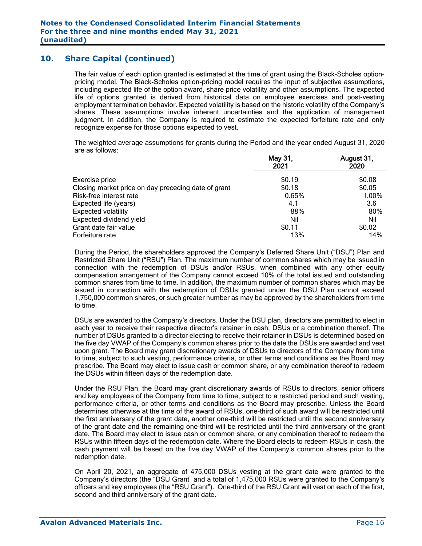The fair value of each option granted is estimated at the time of grant using the Black-Scholes optionpricing model. The Black-Scholes option-pricing model requires the input of subjective assumptions, including expected life of the option award, share price volatility and other assumptions. The expected life of options granted is derived from historical data on employee exercises and post-vesting employment termination behavior. Expected volatility is based on the historic volatility of the Company's shares. These assumptions involve inherent uncertainties and the application of management judgment. In addition, the Company is required to estimate the expected forfeiture rate and only recognize expense for those options expected to vest.

The weighted average assumptions for grants during the Period and the year ended August 31, 2020 are as follows:

|                                                     | May 31,<br>2021 | August 31,<br>2020 |
|-----------------------------------------------------|-----------------|--------------------|
| Exercise price                                      | \$0.19          | \$0.08             |
| Closing market price on day preceding date of grant | \$0.18          | \$0.05             |
| Risk-free interest rate                             | 0.65%           | 1.00%              |
| Expected life (years)                               | 4.1             | 3.6                |
| <b>Expected volatility</b>                          | 88%             | 80%                |
| Expected dividend yield                             | Nil             | Nil                |
| Grant date fair value                               | \$0.11          | \$0.02             |
| Forfeiture rate                                     | 13%             | 14%                |

During the Period, the shareholders approved the Company's Deferred Share Unit ("DSU") Plan and Restricted Share Unit ("RSU") Plan. The maximum number of common shares which may be issued in connection with the redemption of DSUs and/or RSUs, when combined with any other equity compensation arrangement of the Company cannot exceed 10% of the total issued and outstanding common shares from time to time. In addition, the maximum number of common shares which may be issued in connection with the redemption of DSUs granted under the DSU Plan cannot exceed 1,750,000 common shares, or such greater number as may be approved by the shareholders from time to time.

DSUs are awarded to the Company's directors. Under the DSU plan, directors are permitted to elect in each year to receive their respective director's retainer in cash, DSUs or a combination thereof. The number of DSUs granted to a director electing to receive their retainer in DSUs is determined based on the five day VWAP of the Company's common shares prior to the date the DSUs are awarded and vest upon grant. The Board may grant discretionary awards of DSUs to directors of the Company from time to time, subject to such vesting, performance criteria, or other terms and conditions as the Board may prescribe. The Board may elect to issue cash or common share, or any combination thereof to redeem the DSUs within fifteen days of the redemption date.

Under the RSU Plan, the Board may grant discretionary awards of RSUs to directors, senior officers and key employees of the Company from time to time, subject to a restricted period and such vesting, performance criteria, or other terms and conditions as the Board may prescribe. Unless the Board determines otherwise at the time of the award of RSUs, one-third of such award will be restricted until the first anniversary of the grant date, another one-third will be restricted until the second anniversary of the grant date and the remaining one-third will be restricted until the third anniversary of the grant date. The Board may elect to issue cash or common share, or any combination thereof to redeem the RSUs within fifteen days of the redemption date. Where the Board elects to redeem RSUs in cash, the cash payment will be based on the five day VWAP of the Company's common shares prior to the redemption date.

On April 20, 2021, an aggregate of 475,000 DSUs vesting at the grant date were granted to the Company's directors (the "DSU Grant" and a total of 1,475,000 RSUs were granted to the Company's officers and key employees (the "RSU Grant"). One-third of the RSU Grant will vest on each of the first, second and third anniversary of the grant date.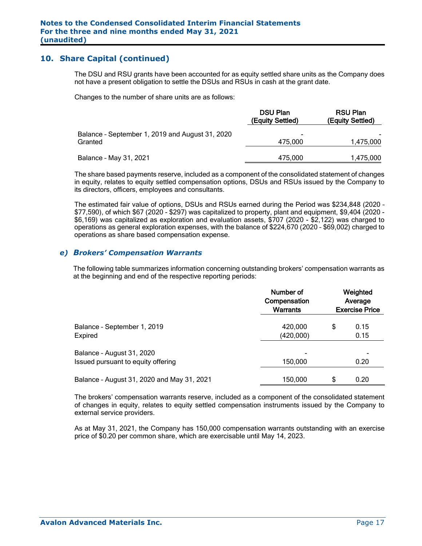The DSU and RSU grants have been accounted for as equity settled share units as the Company does not have a present obligation to settle the DSUs and RSUs in cash at the grant date.

Changes to the number of share units are as follows:

|                                                            | <b>DSU Plan</b><br>(Equity Settled) | <b>RSU Plan</b><br>(Equity Settled) |
|------------------------------------------------------------|-------------------------------------|-------------------------------------|
| Balance - September 1, 2019 and August 31, 2020<br>Granted | $\overline{\phantom{0}}$<br>475.000 | 1,475,000                           |
| Balance - May 31, 2021                                     | 475.000                             | 1,475,000                           |

The share based payments reserve, included as a component of the consolidated statement of changes in equity, relates to equity settled compensation options, DSUs and RSUs issued by the Company to its directors, officers, employees and consultants.

The estimated fair value of options, DSUs and RSUs earned during the Period was \$234,848 (2020 – \$77,590), of which \$67 (2020 - \$297) was capitalized to property, plant and equipment, \$9,404 (2020 - \$6,169) was capitalized as exploration and evaluation assets, \$707 (2020 - \$2,122) was charged to operations as general exploration expenses, with the balance of \$224,670 (2020 – \$69,002) charged to operations as share based compensation expense.

#### *e) Brokers' Compensation Warrants*

The following table summarizes information concerning outstanding brokers' compensation warrants as at the beginning and end of the respective reporting periods:

|                                                                 | Number of<br>Compensation<br><b>Warrants</b> | Weighted<br>Average<br><b>Exercise Price</b> |              |  |  |
|-----------------------------------------------------------------|----------------------------------------------|----------------------------------------------|--------------|--|--|
| Balance - September 1, 2019<br>Expired                          | 420,000<br>(420,000)                         | \$                                           | 0.15<br>0.15 |  |  |
| Balance - August 31, 2020<br>Issued pursuant to equity offering | 150,000                                      |                                              | 0.20         |  |  |
| Balance - August 31, 2020 and May 31, 2021                      | 150,000                                      | \$                                           | 0.20         |  |  |

The brokers' compensation warrants reserve, included as a component of the consolidated statement of changes in equity, relates to equity settled compensation instruments issued by the Company to external service providers.

As at May 31, 2021, the Company has 150,000 compensation warrants outstanding with an exercise price of \$0.20 per common share, which are exercisable until May 14, 2023.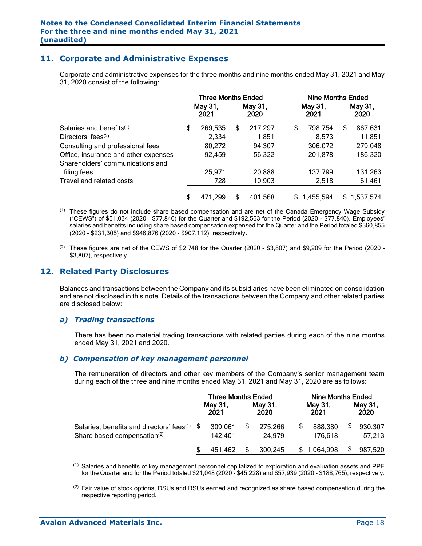## **11. Corporate and Administrative Expenses**

Corporate and administrative expenses for the three months and nine months ended May 31, 2021 and May 31, 2020 consist of the following:

|                                      | <b>Three Months Ended</b> |                 |    |                 | <b>Nine Months Ended</b> |                 |    |                 |  |
|--------------------------------------|---------------------------|-----------------|----|-----------------|--------------------------|-----------------|----|-----------------|--|
|                                      |                           | May 31,<br>2021 |    | May 31,<br>2020 |                          | May 31,<br>2021 |    | May 31,<br>2020 |  |
| Salaries and benefits <sup>(1)</sup> | \$                        | 269,535         | S  | 217,297         | \$                       | 798,754         | \$ | 867,631         |  |
| Directors' fees <sup>(2)</sup>       |                           | 2,334           |    | 1,851           |                          | 8.573           |    | 11,851          |  |
| Consulting and professional fees     |                           | 80,272          |    | 94,307          |                          | 306,072         |    | 279,048         |  |
| Office, insurance and other expenses |                           | 92,459          |    | 56,322          |                          | 201,878         |    | 186,320         |  |
| Shareholders' communications and     |                           |                 |    |                 |                          |                 |    |                 |  |
| filing fees                          |                           | 25,971          |    | 20,888          |                          | 137,799         |    | 131,263         |  |
| Travel and related costs             |                           | 728             |    | 10,903          |                          | 2,518           |    | 61,461          |  |
|                                      | \$                        | 471,299         | \$ | 401,568         | \$                       | 1,455,594       |    | \$1,537,574     |  |

- $<sup>(1)</sup>$  These figures do not include share based compensation and are net of the Canada Emergency Wage Subsidy</sup> ("CEWS") of \$51,034 (2020 – \$77,840) for the Quarter and \$192,563 for the Period (2020 - \$77,840). Employees' salaries and benefits including share based compensation expensed for the Quarter and the Period totaled \$360,855 (2020 - \$231,305) and \$946,876 (2020 - \$907,112), respectively.
- $(2)$  These figures are net of the CEWS of \$2,748 for the Quarter (2020 \$3,807) and \$9,209 for the Period (2020 -\$3,807), respectively.

## **12. Related Party Disclosures**

Balances and transactions between the Company and its subsidiaries have been eliminated on consolidation and are not disclosed in this note. Details of the transactions between the Company and other related parties are disclosed below:

#### *a) Trading transactions*

There has been no material trading transactions with related parties during each of the nine months ended May 31, 2021 and 2020.

#### *b) Compensation of key management personnel*

The remuneration of directors and other key members of the Company's senior management team during each of the three and nine months ended May 31, 2021 and May 31, 2020 are as follows:

|                                                                                            | <b>Three Months Ended</b> |                    |  |                   | <b>Nine Months Ended</b> |                    |    |                   |
|--------------------------------------------------------------------------------------------|---------------------------|--------------------|--|-------------------|--------------------------|--------------------|----|-------------------|
|                                                                                            |                           | May 31,<br>2021    |  | May 31,<br>2020   |                          | May 31,<br>2021    |    | May 31,<br>2020   |
| Salaries, benefits and directors' fees $(1)$ \$<br>Share based compensation <sup>(2)</sup> |                           | 309,061<br>142,401 |  | 275,266<br>24,979 | \$                       | 888,380<br>176,618 | \$ | 930,307<br>57,213 |
|                                                                                            |                           | 451.462            |  | 300.245           | \$.                      | 1,064,998          | \$ | 987,520           |

- $<sup>(1)</sup>$  Salaries and benefits of key management personnel capitalized to exploration and evaluation assets and PPE</sup> for the Quarter and for the Period totaled \$21,048 (2020 - \$45,228) and \$57,939 (2020 - \$188,765), respectively.
- $(2)$  Fair value of stock options, DSUs and RSUs earned and recognized as share based compensation during the respective reporting period.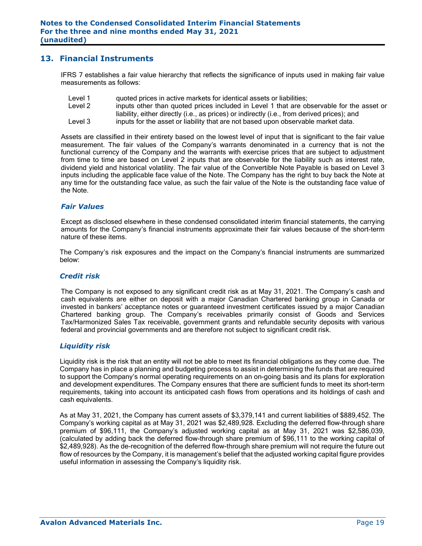## **13. Financial Instruments**

IFRS 7 establishes a fair value hierarchy that reflects the significance of inputs used in making fair value measurements as follows:

- Level 1 quoted prices in active markets for identical assets or liabilities;
- Level 2 inputs other than quoted prices included in Level 1 that are observable for the asset or liability, either directly (i.e., as prices) or indirectly (i.e., from derived prices); and
- Level 3 inputs for the asset or liability that are not based upon observable market data.

Assets are classified in their entirety based on the lowest level of input that is significant to the fair value measurement. The fair values of the Company's warrants denominated in a currency that is not the functional currency of the Company and the warrants with exercise prices that are subject to adjustment from time to time are based on Level 2 inputs that are observable for the liability such as interest rate, dividend yield and historical volatility. The fair value of the Convertible Note Payable is based on Level 3 inputs including the applicable face value of the Note. The Company has the right to buy back the Note at any time for the outstanding face value, as such the fair value of the Note is the outstanding face value of the Note.

#### *Fair Values*

Except as disclosed elsewhere in these condensed consolidated interim financial statements, the carrying amounts for the Company's financial instruments approximate their fair values because of the short-term nature of these items.

The Company's risk exposures and the impact on the Company's financial instruments are summarized below:

#### *Credit risk*

The Company is not exposed to any significant credit risk as at May 31, 2021. The Company's cash and cash equivalents are either on deposit with a major Canadian Chartered banking group in Canada or invested in bankers' acceptance notes or guaranteed investment certificates issued by a major Canadian Chartered banking group. The Company's receivables primarily consist of Goods and Services Tax/Harmonized Sales Tax receivable, government grants and refundable security deposits with various federal and provincial governments and are therefore not subject to significant credit risk.

#### *Liquidity risk*

Liquidity risk is the risk that an entity will not be able to meet its financial obligations as they come due. The Company has in place a planning and budgeting process to assist in determining the funds that are required to support the Company's normal operating requirements on an on-going basis and its plans for exploration and development expenditures. The Company ensures that there are sufficient funds to meet its short-term requirements, taking into account its anticipated cash flows from operations and its holdings of cash and cash equivalents.

As at May 31, 2021, the Company has current assets of \$3,379,141 and current liabilities of \$889,452. The Company's working capital as at May 31, 2021 was \$2,489,928. Excluding the deferred flow-through share premium of \$96,111, the Company's adjusted working capital as at May 31, 2021 was \$2,586,039, (calculated by adding back the deferred flow-through share premium of \$96,111 to the working capital of \$2,489,928). As the de-recognition of the deferred flow-through share premium will not require the future out flow of resources by the Company, it is management's belief that the adjusted working capital figure provides useful information in assessing the Company's liquidity risk.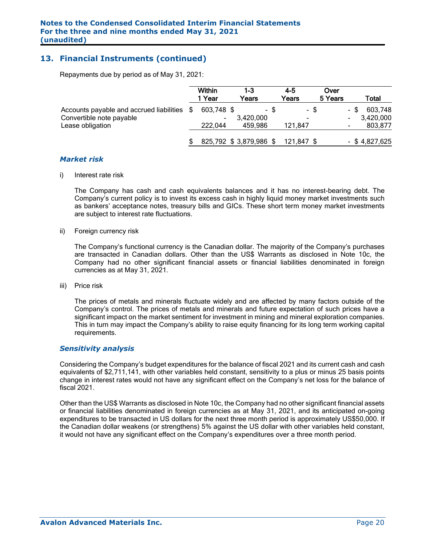## **13. Financial Instruments (continued)**

Repayments due by period as of May 31, 2021:

|                                                                      |     | Within<br>  Year       | 1-3<br>Years |      | $4 - 5$<br>Years | Over<br>5 Years |      | Total                |
|----------------------------------------------------------------------|-----|------------------------|--------------|------|------------------|-----------------|------|----------------------|
| Accounts payable and accrued liabilities<br>Convertible note payable | \$. | 603,748 \$<br>-        | 3,420,000    | - \$ | -                | - \$            | - \$ | 603,748<br>3,420,000 |
| Lease obligation                                                     |     | 222.044                | 459.986      |      | 121,847          |                 |      | 803,877              |
|                                                                      |     | 825,792 \$3,879,986 \$ |              |      | 121.847 \$       |                 |      | $-$ \$4,827,625      |

#### *Market risk*

i) Interest rate risk

The Company has cash and cash equivalents balances and it has no interest-bearing debt. The Company's current policy is to invest its excess cash in highly liquid money market investments such as bankers' acceptance notes, treasury bills and GICs. These short term money market investments are subject to interest rate fluctuations.

ii) Foreign currency risk

The Company's functional currency is the Canadian dollar. The majority of the Company's purchases are transacted in Canadian dollars. Other than the US\$ Warrants as disclosed in Note 10c, the Company had no other significant financial assets or financial liabilities denominated in foreign currencies as at May 31, 2021.

iii) Price risk

The prices of metals and minerals fluctuate widely and are affected by many factors outside of the Company's control. The prices of metals and minerals and future expectation of such prices have a significant impact on the market sentiment for investment in mining and mineral exploration companies. This in turn may impact the Company's ability to raise equity financing for its long term working capital requirements.

#### *Sensitivity analysis*

Considering the Company's budget expenditures for the balance of fiscal 2021 and its current cash and cash equivalents of \$2,711,141, with other variables held constant, sensitivity to a plus or minus 25 basis points change in interest rates would not have any significant effect on the Company's net loss for the balance of fiscal 2021.

Other than the US\$ Warrants as disclosed in Note 10c, the Company had no other significant financial assets or financial liabilities denominated in foreign currencies as at May 31, 2021, and its anticipated on-going expenditures to be transacted in US dollars for the next three month period is approximately US\$50,000. If the Canadian dollar weakens (or strengthens) 5% against the US dollar with other variables held constant, it would not have any significant effect on the Company's expenditures over a three month period.